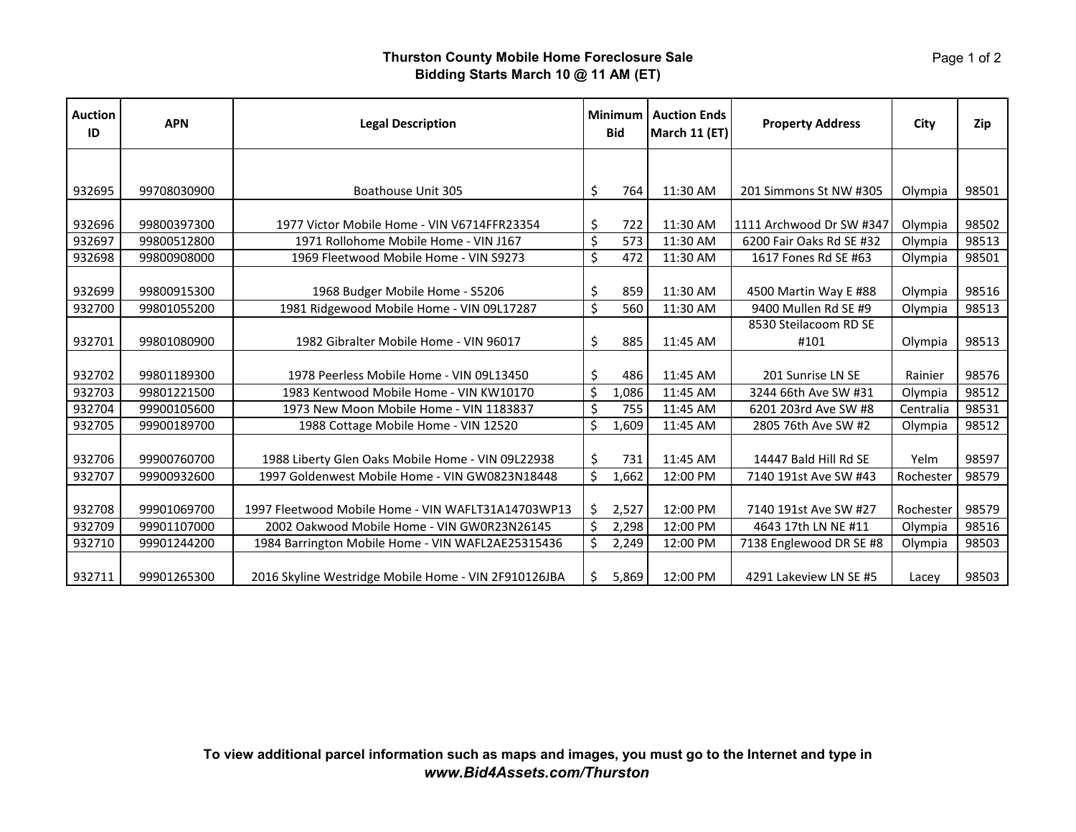## **Thurston County Mobile Home Foreclosure Sale Bidding Starts March 10 @ 11 AM (ET)**

| <b>Auction</b><br>ID | <b>APN</b>  | <b>Legal Description</b>                             | Minimum<br><b>Bid</b> |       | <b>Auction Ends</b><br>March 11 (ET) | <b>Property Address</b>       | City      | Zip   |
|----------------------|-------------|------------------------------------------------------|-----------------------|-------|--------------------------------------|-------------------------------|-----------|-------|
|                      |             |                                                      |                       |       |                                      |                               |           |       |
| 932695               | 99708030900 | Boathouse Unit 305                                   | \$                    | 764   | 11:30 AM                             | 201 Simmons St NW #305        | Olympia   | 98501 |
| 932696               | 99800397300 | 1977 Victor Mobile Home - VIN V6714FFR23354          | \$                    | 722   | 11:30 AM                             | 1111 Archwood Dr SW #347      | Olympia   | 98502 |
| 932697               | 99800512800 | 1971 Rollohome Mobile Home - VIN J167                | \$                    | 573   | 11:30 AM                             | 6200 Fair Oaks Rd SE #32      | Olympia   | 98513 |
| 932698               | 99800908000 | 1969 Fleetwood Mobile Home - VIN S9273               |                       | 472   | 11:30 AM                             | 1617 Fones Rd SE #63          | Olympia   | 98501 |
| 932699               | 99800915300 | 1968 Budger Mobile Home - S5206                      | \$                    | 859   | 11:30 AM                             | 4500 Martin Way E #88         | Olympia   | 98516 |
| 932700               | 99801055200 | 1981 Ridgewood Mobile Home - VIN 09L17287            | \$                    | 560   | 11:30 AM                             | 9400 Mullen Rd SE #9          | Olympia   | 98513 |
| 932701               | 99801080900 | 1982 Gibralter Mobile Home - VIN 96017               | \$                    | 885   | 11:45 AM                             | 8530 Steilacoom RD SE<br>#101 | Olympia   | 98513 |
| 932702               | 99801189300 | 1978 Peerless Mobile Home - VIN 09L13450             | \$                    | 486   | 11:45 AM                             | 201 Sunrise LN SE             | Rainier   | 98576 |
| 932703               | 99801221500 | 1983 Kentwood Mobile Home - VIN KW10170              | Ś                     | 1,086 | 11:45 AM                             | 3244 66th Ave SW #31          | Olympia   | 98512 |
| 932704               | 99900105600 | 1973 New Moon Mobile Home - VIN 1183837              | \$                    | 755   | 11:45 AM                             | 6201 203rd Ave SW #8          | Centralia | 98531 |
| 932705               | 99900189700 | 1988 Cottage Mobile Home - VIN 12520                 | \$                    | 1,609 | 11:45 AM                             | 2805 76th Ave SW #2           | Olympia   | 98512 |
| 932706               | 99900760700 | 1988 Liberty Glen Oaks Mobile Home - VIN 09L22938    | \$                    | 731   | 11:45 AM                             | 14447 Bald Hill Rd SE         | Yelm      | 98597 |
| 932707               | 99900932600 | 1997 Goldenwest Mobile Home - VIN GW0823N18448       | \$                    | 1,662 | 12:00 PM                             | 7140 191st Ave SW #43         | Rochester | 98579 |
| 932708               | 99901069700 | 1997 Fleetwood Mobile Home - VIN WAFLT31A14703WP13   | S.                    | 2,527 | 12:00 PM                             | 7140 191st Ave SW #27         | Rochester | 98579 |
| 932709               | 99901107000 | 2002 Oakwood Mobile Home - VIN GW0R23N26145          | \$                    | 2,298 | 12:00 PM                             | 4643 17th LN NE #11           | Olympia   | 98516 |
| 932710               | 99901244200 | 1984 Barrington Mobile Home - VIN WAFL2AE25315436    | Ś.                    | 2,249 | 12:00 PM                             | 7138 Englewood DR SE #8       | Olympia   | 98503 |
| 932711               | 99901265300 | 2016 Skyline Westridge Mobile Home - VIN 2F910126JBA | S.                    | 5,869 | 12:00 PM                             | 4291 Lakeview LN SE #5        | Lacey     | 98503 |